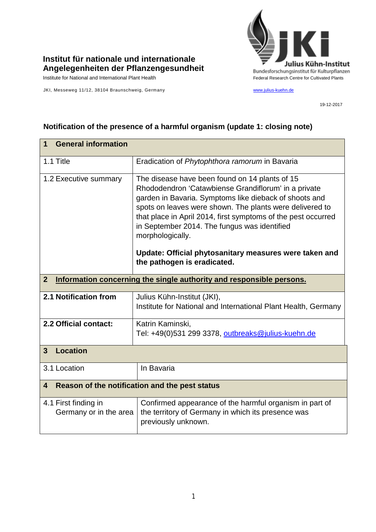

## **Institut für nationale und internationale Angelegenheiten der Pflanzengesundheit**

JKI, Messeweg 11/12, 38104 Braunschweig, Germany [www.julius-kuehn.de](http://www.julius-kuehn.de/)

19-12-2017

| <b>General information</b><br>1                                                        |                                                                                                                                                                                                                                                                                                                                                                                                                                                            |  |  |
|----------------------------------------------------------------------------------------|------------------------------------------------------------------------------------------------------------------------------------------------------------------------------------------------------------------------------------------------------------------------------------------------------------------------------------------------------------------------------------------------------------------------------------------------------------|--|--|
| 1.1 Title                                                                              | Eradication of Phytophthora ramorum in Bavaria                                                                                                                                                                                                                                                                                                                                                                                                             |  |  |
| 1.2 Executive summary                                                                  | The disease have been found on 14 plants of 15<br>Rhododendron 'Catawbiense Grandiflorum' in a private<br>garden in Bavaria. Symptoms like dieback of shoots and<br>spots on leaves were shown. The plants were delivered to<br>that place in April 2014, first symptoms of the pest occurred<br>in September 2014. The fungus was identified<br>morphologically.<br>Update: Official phytosanitary measures were taken and<br>the pathogen is eradicated. |  |  |
| Information concerning the single authority and responsible persons.<br>$\overline{2}$ |                                                                                                                                                                                                                                                                                                                                                                                                                                                            |  |  |
| 2.1 Notification from                                                                  | Julius Kühn-Institut (JKI),<br>Institute for National and International Plant Health, Germany                                                                                                                                                                                                                                                                                                                                                              |  |  |
| 2.2 Official contact:                                                                  | Katrin Kaminski,<br>Tel: +49(0)531 299 3378, outbreaks@julius-kuehn.de                                                                                                                                                                                                                                                                                                                                                                                     |  |  |
| <b>Location</b><br>3                                                                   |                                                                                                                                                                                                                                                                                                                                                                                                                                                            |  |  |
| 3.1 Location                                                                           | In Bavaria                                                                                                                                                                                                                                                                                                                                                                                                                                                 |  |  |
| Reason of the notification and the pest status<br>4                                    |                                                                                                                                                                                                                                                                                                                                                                                                                                                            |  |  |
| 4.1 First finding in<br>Germany or in the area                                         | Confirmed appearance of the harmful organism in part of<br>the territory of Germany in which its presence was<br>previously unknown.                                                                                                                                                                                                                                                                                                                       |  |  |

## **Notification of the presence of a harmful organism (update 1: closing note)**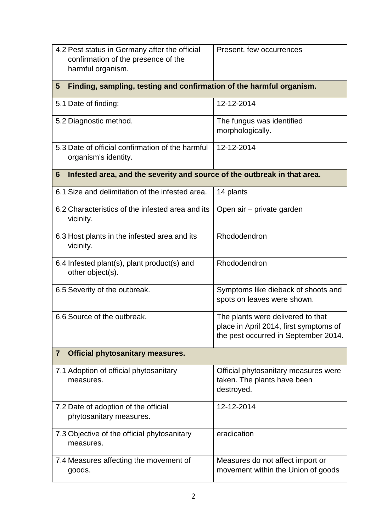| 4.2 Pest status in Germany after the official<br>confirmation of the presence of the<br>harmful organism. | Present, few occurrences                                                                                            |  |  |  |
|-----------------------------------------------------------------------------------------------------------|---------------------------------------------------------------------------------------------------------------------|--|--|--|
| Finding, sampling, testing and confirmation of the harmful organism.<br>5                                 |                                                                                                                     |  |  |  |
| 5.1 Date of finding:                                                                                      | 12-12-2014                                                                                                          |  |  |  |
| 5.2 Diagnostic method.                                                                                    | The fungus was identified<br>morphologically.                                                                       |  |  |  |
| 5.3 Date of official confirmation of the harmful<br>organism's identity.                                  | 12-12-2014                                                                                                          |  |  |  |
| Infested area, and the severity and source of the outbreak in that area.<br>6                             |                                                                                                                     |  |  |  |
| 6.1 Size and delimitation of the infested area.                                                           | 14 plants                                                                                                           |  |  |  |
| 6.2 Characteristics of the infested area and its<br>vicinity.                                             | Open air – private garden                                                                                           |  |  |  |
| 6.3 Host plants in the infested area and its<br>vicinity.                                                 | Rhododendron                                                                                                        |  |  |  |
| 6.4 Infested plant(s), plant product(s) and<br>other object(s).                                           | Rhododendron                                                                                                        |  |  |  |
| 6.5 Severity of the outbreak.                                                                             | Symptoms like dieback of shoots and<br>spots on leaves were shown.                                                  |  |  |  |
| 6.6 Source of the outbreak.                                                                               | The plants were delivered to that<br>place in April 2014, first symptoms of<br>the pest occurred in September 2014. |  |  |  |
| $\overline{7}$<br><b>Official phytosanitary measures.</b>                                                 |                                                                                                                     |  |  |  |
| 7.1 Adoption of official phytosanitary<br>measures.                                                       | Official phytosanitary measures were<br>taken. The plants have been<br>destroyed.                                   |  |  |  |
| 7.2 Date of adoption of the official<br>phytosanitary measures.                                           | 12-12-2014                                                                                                          |  |  |  |
| 7.3 Objective of the official phytosanitary<br>measures.                                                  | eradication                                                                                                         |  |  |  |
| 7.4 Measures affecting the movement of<br>goods.                                                          | Measures do not affect import or<br>movement within the Union of goods                                              |  |  |  |